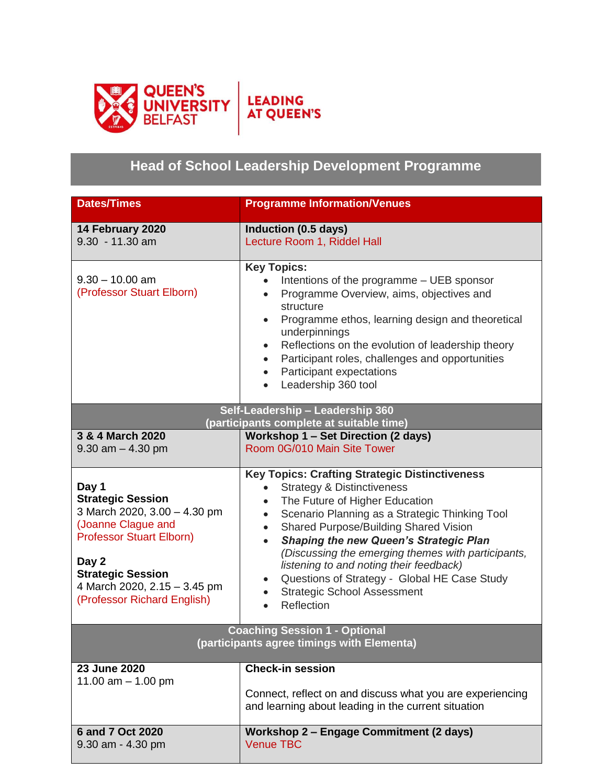

## **Head of School Leadership Development Programme**

| <b>Dates/Times</b>                                                                                                                                                                                                             | <b>Programme Information/Venues</b>                                                                                                                                                                                                                                                                                                                                                                                                                                                            |
|--------------------------------------------------------------------------------------------------------------------------------------------------------------------------------------------------------------------------------|------------------------------------------------------------------------------------------------------------------------------------------------------------------------------------------------------------------------------------------------------------------------------------------------------------------------------------------------------------------------------------------------------------------------------------------------------------------------------------------------|
| 14 February 2020<br>$9.30 - 11.30$ am                                                                                                                                                                                          | Induction (0.5 days)<br>Lecture Room 1, Riddel Hall                                                                                                                                                                                                                                                                                                                                                                                                                                            |
| $9.30 - 10.00$ am<br>(Professor Stuart Elborn)                                                                                                                                                                                 | <b>Key Topics:</b><br>Intentions of the programme – UEB sponsor<br>Programme Overview, aims, objectives and<br>structure<br>Programme ethos, learning design and theoretical<br>underpinnings<br>Reflections on the evolution of leadership theory<br>$\bullet$<br>Participant roles, challenges and opportunities<br>$\bullet$<br>Participant expectations<br>Leadership 360 tool<br>Self-Leadership - Leadership 360                                                                         |
| (participants complete at suitable time)                                                                                                                                                                                       |                                                                                                                                                                                                                                                                                                                                                                                                                                                                                                |
| 3 & 4 March 2020<br>$9.30$ am $- 4.30$ pm                                                                                                                                                                                      | Workshop 1 - Set Direction (2 days)<br>Room 0G/010 Main Site Tower                                                                                                                                                                                                                                                                                                                                                                                                                             |
| Day 1<br><b>Strategic Session</b><br>3 March 2020, 3.00 - 4.30 pm<br>(Joanne Clague and<br><b>Professor Stuart Elborn)</b><br>Day 2<br><b>Strategic Session</b><br>4 March 2020, 2.15 - 3.45 pm<br>(Professor Richard English) | <b>Key Topics: Crafting Strategic Distinctiveness</b><br><b>Strategy &amp; Distinctiveness</b><br>$\bullet$<br>The Future of Higher Education<br>Scenario Planning as a Strategic Thinking Tool<br>Shared Purpose/Building Shared Vision<br><b>Shaping the new Queen's Strategic Plan</b><br>(Discussing the emerging themes with participants,<br>listening to and noting their feedback)<br>Questions of Strategy - Global HE Case Study<br><b>Strategic School Assessment</b><br>Reflection |
| <b>Coaching Session 1 - Optional</b><br>(participants agree timings with Elementa)                                                                                                                                             |                                                                                                                                                                                                                                                                                                                                                                                                                                                                                                |
| 23 June 2020<br>11.00 $am - 1.00$ pm                                                                                                                                                                                           | <b>Check-in session</b><br>Connect, reflect on and discuss what you are experiencing<br>and learning about leading in the current situation                                                                                                                                                                                                                                                                                                                                                    |
| 6 and 7 Oct 2020<br>9.30 am - 4.30 pm                                                                                                                                                                                          | <b>Workshop 2 - Engage Commitment (2 days)</b><br><b>Venue TBC</b>                                                                                                                                                                                                                                                                                                                                                                                                                             |